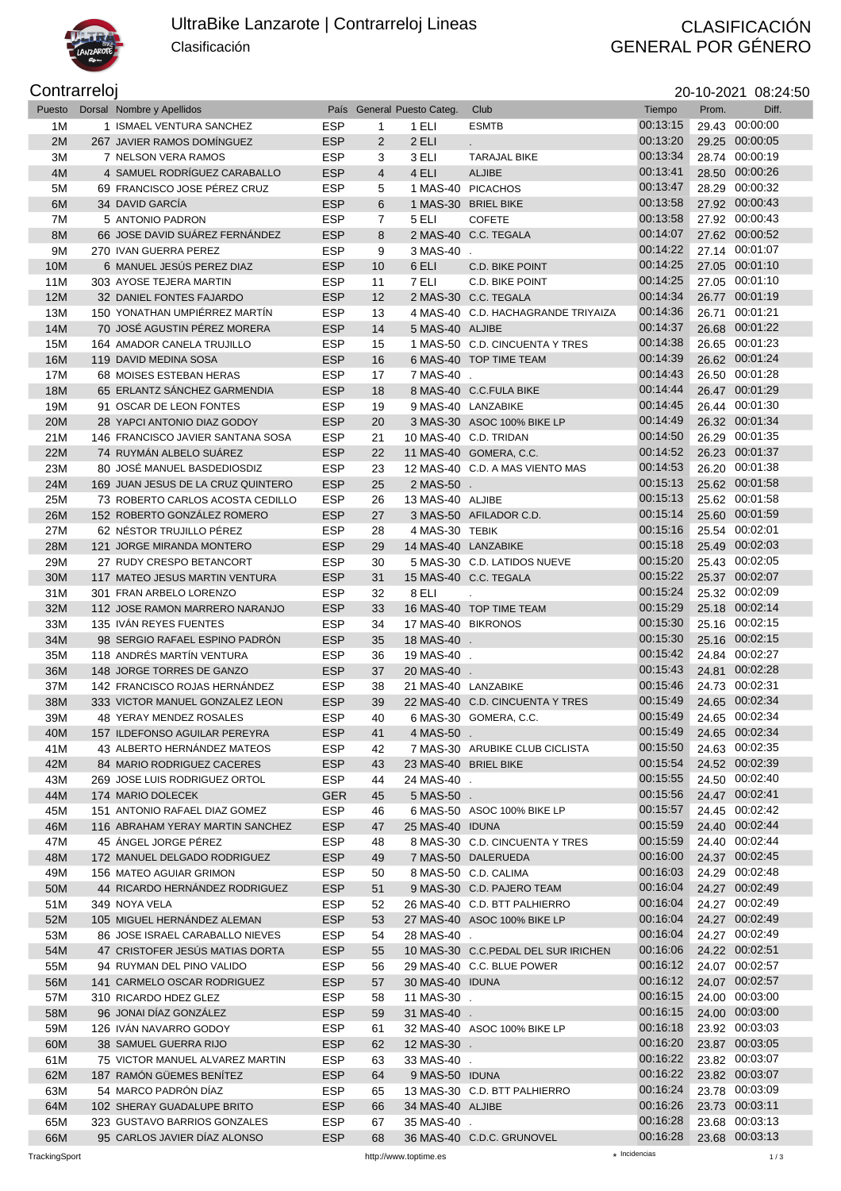

## UltraBike Lanzarote | Contrarreloj Lineas

Clasificación

## CLASIFICACIÓN<br>GENERAL POR GÉNERO

Contrarreloj 20-10-2021 08:24:50

| Puesto | Dorsal Nombre y Apellidos          |            |                | País General Puesto Categ. | Club                                 | Tiempo   | Prom. | Diff.          |
|--------|------------------------------------|------------|----------------|----------------------------|--------------------------------------|----------|-------|----------------|
| 1M     | 1 ISMAEL VENTURA SANCHEZ           | <b>ESP</b> | 1              | 1 ELI                      | <b>ESMTB</b>                         | 00:13:15 |       | 29.43 00:00:00 |
| 2M     | 267 JAVIER RAMOS DOMÍNGUEZ         | <b>ESP</b> | $\overline{2}$ | 2 ELI                      |                                      | 00:13:20 |       | 29.25 00:00:05 |
| 3M     | 7 NELSON VERA RAMOS                | <b>ESP</b> | 3              | 3 ELI                      | <b>TARAJAL BIKE</b>                  | 00:13:34 |       | 28.74 00:00:19 |
| 4M     | 4 SAMUEL RODRÍGUEZ CARABALLO       | <b>ESP</b> | $\overline{4}$ | 4 ELI                      | <b>ALJIBE</b>                        | 00:13:41 |       | 28.50 00:00:26 |
| 5M     | 69 FRANCISCO JOSE PÉREZ CRUZ       | <b>ESP</b> | 5              |                            | 1 MAS-40 PICACHOS                    | 00:13:47 |       | 28.29 00:00:32 |
| 6M     | 34 DAVID GARCIA                    | <b>ESP</b> | 6              |                            | 1 MAS-30 BRIEL BIKE                  | 00:13:58 |       | 27.92 00:00:43 |
| 7M     | 5 ANTONIO PADRON                   | <b>ESP</b> | 7              | 5 ELI                      | <b>COFETE</b>                        | 00:13:58 |       | 27.92 00:00:43 |
| 8M     | 66 JOSE DAVID SUAREZ FERNANDEZ     | <b>ESP</b> | 8              |                            | 2 MAS-40 C.C. TEGALA                 | 00:14:07 |       | 27.62 00:00:52 |
| 9M     | 270 IVAN GUERRA PEREZ              | <b>ESP</b> | 9              | 3 MAS-40 .                 |                                      | 00:14:22 |       | 27.14 00:01:07 |
| 10M    | 6 MANUEL JESÚS PEREZ DIAZ          | <b>ESP</b> | 10             | 6 ELI                      | C.D. BIKE POINT                      | 00:14:25 |       | 27.05 00:01:10 |
| 11M    | 303 AYOSE TEJERA MARTIN            | <b>ESP</b> | 11             | 7 ELI                      | C.D. BIKE POINT                      | 00:14:25 |       | 27.05 00:01:10 |
| 12M    | 32 DANIEL FONTES FAJARDO           | <b>ESP</b> | 12             |                            | 2 MAS-30 C.C. TEGALA                 | 00:14:34 |       | 26.77 00:01:19 |
| 13M    | 150 YONATHAN UMPIÉRREZ MARTÍN      | <b>ESP</b> | 13             |                            | 4 MAS-40 C.D. HACHAGRANDE TRIYAIZA   | 00:14:36 |       | 26.71 00:01:21 |
| 14M    | 70 JOSÉ AGUSTIN PÉREZ MORERA       | <b>ESP</b> | 14             | 5 MAS-40 ALJIBE            |                                      | 00:14:37 |       | 26.68 00:01:22 |
| 15M    | 164 AMADOR CANELA TRUJILLO         | <b>ESP</b> | 15             |                            | 1 MAS-50 C.D. CINCUENTA Y TRES       | 00:14:38 |       | 26.65 00:01:23 |
| 16M    | 119 DAVID MEDINA SOSA              | <b>ESP</b> | 16             |                            | 6 MAS-40 TOP TIME TEAM               | 00:14:39 |       | 26.62 00:01:24 |
| 17M    | 68 MOISES ESTEBAN HERAS            | <b>ESP</b> | 17             | 7 MAS-40 .                 |                                      | 00:14:43 |       | 26.50 00:01:28 |
| 18M    | 65 ERLANTZ SÁNCHEZ GARMENDIA       | <b>ESP</b> | 18             |                            | 8 MAS-40 C.C.FULA BIKE               | 00:14:44 |       | 26.47 00:01:29 |
| 19M    | 91 OSCAR DE LEON FONTES            | <b>ESP</b> | 19             |                            | 9 MAS-40 LANZABIKE                   | 00:14:45 |       | 26.44 00:01:30 |
| 20M    | 28 YAPCI ANTONIO DIAZ GODOY        | <b>ESP</b> | 20             |                            | 3 MAS-30 ASOC 100% BIKE LP           | 00:14:49 |       | 26.32 00:01:34 |
| 21M    | 146 FRANCISCO JAVIER SANTANA SOSA  | <b>ESP</b> | 21             |                            | 10 MAS-40 C.D. TRIDAN                | 00:14:50 |       | 26.29 00:01:35 |
| 22M    | 74 RUYMÁN ALBELO SUÁREZ            | <b>ESP</b> | 22             |                            | 11 MAS-40 GOMERA, C.C.               | 00:14:52 |       | 26.23 00:01:37 |
| 23M    | 80 JOSÉ MANUEL BASDEDIOSDIZ        | <b>ESP</b> | 23             |                            | 12 MAS-40 C.D. A MAS VIENTO MAS      | 00:14:53 |       | 26.20 00:01:38 |
| 24M    | 169 JUAN JESUS DE LA CRUZ QUINTERO | <b>ESP</b> | 25             | 2 MAS-50 .                 |                                      | 00:15:13 |       | 25.62 00:01:58 |
| 25M    | 73 ROBERTO CARLOS ACOSTA CEDILLO   | <b>ESP</b> | 26             | 13 MAS-40 ALJIBE           |                                      | 00:15:13 |       | 25.62 00:01:58 |
| 26M    | 152 ROBERTO GONZÁLEZ ROMERO        | <b>ESP</b> | 27             |                            | 3 MAS-50 AFILADOR C.D.               | 00:15:14 |       | 25.60 00:01:59 |
| 27M    | 62 NÉSTOR TRUJILLO PÉREZ           | <b>ESP</b> | 28             | 4 MAS-30 TEBIK             |                                      | 00:15:16 |       | 25.54 00:02:01 |
| 28M    | 121 JORGE MIRANDA MONTERO          | <b>ESP</b> | 29             | 14 MAS-40 LANZABIKE        |                                      | 00:15:18 |       | 25.49 00:02:03 |
| 29M    | 27 RUDY CRESPO BETANCORT           | <b>ESP</b> | 30             |                            | 5 MAS-30 C.D. LATIDOS NUEVE          | 00:15:20 |       | 25.43 00:02:05 |
| 30M    | 117 MATEO JESUS MARTIN VENTURA     | <b>ESP</b> | 31             |                            | 15 MAS-40 C.C. TEGALA                | 00:15:22 |       | 25.37 00:02:07 |
| 31M    | 301 FRAN ARBELO LORENZO            | <b>ESP</b> | 32             | 8 ELI                      | $\sim$                               | 00:15:24 |       | 25.32 00:02:09 |
| 32M    | 112 JOSE RAMON MARRERO NARANJO     | <b>ESP</b> | 33             |                            | 16 MAS-40 TOP TIME TEAM              | 00:15:29 |       | 25.18 00:02:14 |
| 33M    | 135 IVAN REYES FUENTES             | <b>ESP</b> | 34             | 17 MAS-40 BIKRONOS         |                                      | 00:15:30 |       | 25.16 00:02:15 |
| 34M    | 98 SERGIO RAFAEL ESPINO PADRÓN     | <b>ESP</b> | 35             | 18 MAS-40 .                |                                      | 00:15:30 |       | 25.16 00:02:15 |
| 35M    | 118 ANDRÉS MARTÍN VENTURA          | <b>ESP</b> | 36             | 19 MAS-40 .                |                                      | 00:15:42 |       | 24.84 00:02:27 |
| 36M    | 148 JORGE TORRES DE GANZO          | <b>ESP</b> | 37             | 20 MAS-40 .                |                                      | 00:15:43 |       | 24.81 00:02:28 |
| 37M    | 142 FRANCISCO ROJAS HERNÁNDEZ      | <b>ESP</b> | 38             | 21 MAS-40 LANZABIKE        |                                      | 00:15:46 |       | 24.73 00:02:31 |
| 38M    | 333 VICTOR MANUEL GONZALEZ LEON    | <b>ESP</b> | 39             |                            | 22 MAS-40 C.D. CINCUENTA Y TRES      | 00:15:49 |       | 24.65 00:02:34 |
| 39M    | 48 YERAY MENDEZ ROSALES            | <b>ESP</b> | 40             |                            | 6 MAS-30 GOMERA, C.C.                | 00:15:49 |       | 24.65 00:02:34 |
| 40M    | 157 ILDEFONSO AGUILAR PEREYRA      | ESP        |                | 41 4 MAS-50.               |                                      | 00:15:49 |       | 24.65 00:02:34 |
| 41 M   | 43 ALBERTO HERNANDEZ MATEOS        | ESP        | 42             |                            | 7 MAS-30 ARUBIKE CLUB CICLISTA       | 00:15:50 |       | 24.63 00:02:35 |
| 42M    | 84 MARIO RODRIGUEZ CACERES         | <b>ESP</b> | 43             |                            | 23 MAS-40 BRIEL BIKE                 | 00:15:54 |       | 24.52 00:02:39 |
| 43M    | 269 JOSE LUIS RODRIGUEZ ORTOL      | ESP        | 44             | 24 MAS-40 .                |                                      | 00:15:55 |       | 24.50 00:02:40 |
| 44M    | 174 MARIO DOLECEK                  | <b>GER</b> | 45             | 5 MAS-50 .                 |                                      | 00:15:56 |       | 24.47 00:02:41 |
| 45M    | 151 ANTONIO RAFAEL DIAZ GOMEZ      | <b>ESP</b> | 46             |                            | 6 MAS-50 ASOC 100% BIKE LP           | 00:15:57 |       | 24.45 00:02:42 |
| 46M    | 116 ABRAHAM YERAY MARTIN SANCHEZ   | <b>ESP</b> | 47             | 25 MAS-40 IDUNA            |                                      | 00:15:59 |       | 24.40 00:02:44 |
| 47M    | 45 ANGEL JORGE PÉREZ               | <b>ESP</b> | 48             |                            | 8 MAS-30 C.D. CINCUENTA Y TRES       | 00:15:59 |       | 24.40 00:02:44 |
| 48M    | 172 MANUEL DELGADO RODRIGUEZ       | <b>ESP</b> | 49             |                            | 7 MAS-50 DALERUEDA                   | 00:16:00 |       | 24.37 00:02:45 |
| 49M    | 156 MATEO AGUIAR GRIMON            | <b>ESP</b> | 50             |                            | 8 MAS-50 C.D. CALIMA                 | 00:16:03 |       | 24.29 00:02:48 |
| 50M    | 44 RICARDO HERNÁNDEZ RODRIGUEZ     | <b>ESP</b> | 51             |                            | 9 MAS-30 C.D. PAJERO TEAM            | 00:16:04 |       | 24.27 00:02:49 |
| 51M    | 349 NOYA VELA                      | <b>ESP</b> | 52             |                            | 26 MAS-40 C.D. BTT PALHIERRO         | 00:16:04 |       | 24.27 00:02:49 |
| 52M    | 105 MIGUEL HERNÁNDEZ ALEMAN        | <b>ESP</b> | 53             |                            | 27 MAS-40 ASOC 100% BIKE LP          | 00:16:04 |       | 24.27 00:02:49 |
| 53M    | 86 JOSE ISRAEL CARABALLO NIEVES    | <b>ESP</b> | 54             | 28 MAS-40 .                |                                      | 00:16:04 |       | 24.27 00:02:49 |
| 54M    | 47 CRISTOFER JESUS MATIAS DORTA    | ESP        | 55             |                            | 10 MAS-30 C.C. PEDAL DEL SUR IRICHEN | 00:16:06 |       | 24.22 00:02:51 |
| 55M    | 94 RUYMAN DEL PINO VALIDO          | ESP        | 56             |                            | 29 MAS-40 C.C. BLUE POWER            | 00:16:12 |       | 24.07 00:02:57 |
| 56M    | 141 CARMELO OSCAR RODRIGUEZ        | <b>ESP</b> | 57             | 30 MAS-40 IDUNA            |                                      | 00:16:12 |       | 24.07 00:02:57 |
| 57M    | 310 RICARDO HDEZ GLEZ              | <b>ESP</b> | 58             | 11 MAS-30 .                |                                      | 00:16:15 |       | 24.00 00:03:00 |
| 58M    | 96 JONAI DÍAZ GONZÁLEZ             | ESP        | 59             | 31 MAS-40 .                |                                      | 00:16:15 |       | 24.00 00:03:00 |
| 59M    | 126 IVAN NAVARRO GODOY             | <b>ESP</b> | 61             |                            | 32 MAS-40 ASOC 100% BIKE LP          | 00:16:18 |       | 23.92 00:03:03 |
| 60M    | 38 SAMUEL GUERRA RIJO              | <b>ESP</b> | 62             | 12 MAS-30 .                |                                      | 00:16:20 |       | 23.87 00:03:05 |
| 61M    | 75 VICTOR MANUEL ALVAREZ MARTIN    | <b>ESP</b> | 63             | 33 MAS-40 .                |                                      | 00:16:22 |       | 23.82 00:03:07 |
| 62M    | 187 RAMÓN GÜEMES BENÍTEZ           | <b>ESP</b> | 64             | 9 MAS-50 IDUNA             |                                      | 00:16:22 |       | 23.82 00:03:07 |
| 63M    | 54 MARCO PADRÓN DÍAZ               | <b>ESP</b> | 65             |                            | 13 MAS-30 C.D. BTT PALHIERRO         | 00:16:24 |       | 23.78 00:03:09 |
| 64M    | 102 SHERAY GUADALUPE BRITO         | ESP        | 66             | 34 MAS-40 ALJIBE           |                                      | 00:16:26 |       | 23.73 00:03:11 |
| 65M    | 323 GUSTAVO BARRIOS GONZALES       | <b>ESP</b> | 67             | 35 MAS-40                  |                                      | 00:16:28 |       | 23.68 00:03:13 |
| 66M    | 95 CARLOS JAVIER DÍAZ ALONSO       | <b>ESP</b> | 68             |                            | 36 MAS-40 C.D.C. GRUNOVEL            | 00:16:28 |       | 23.68 00:03:13 |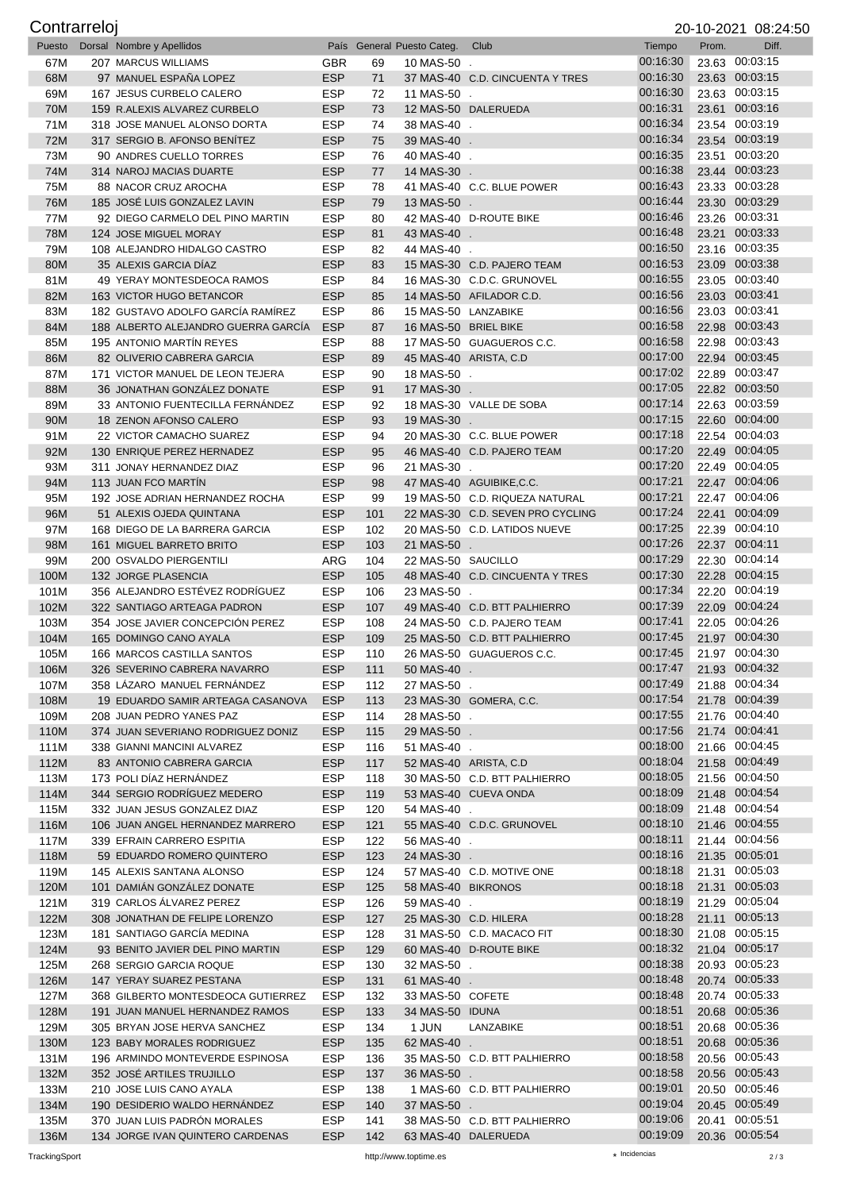| Contrarreloj |                                                               |                          |            |                            |                                                            |                      |       | 20-10-2021 08:24:50              |
|--------------|---------------------------------------------------------------|--------------------------|------------|----------------------------|------------------------------------------------------------|----------------------|-------|----------------------------------|
| Puesto       | Dorsal Nombre y Apellidos                                     |                          |            | País General Puesto Categ. | Club                                                       | Tiempo               | Prom. | Diff.                            |
| 67M          | 207 MARCUS WILLIAMS                                           | <b>GBR</b>               | 69         | 10 MAS-50                  |                                                            | 00:16:30             |       | 23.63 00:03:15                   |
| 68M          | 97 MANUEL ESPAÑA LOPEZ                                        | <b>ESP</b>               | 71         |                            | 37 MAS-40 C.D. CINCUENTA Y TRES                            | 00:16:30             |       | 23.63 00:03:15                   |
| 69M          | 167 JESUS CURBELO CALERO                                      | <b>ESP</b>               | 72         | 11 MAS-50 .                |                                                            | 00:16:30<br>00:16:31 |       | 23.63 00:03:15<br>23.61 00:03:16 |
| 70M<br>71M   | 159 R.ALEXIS ALVAREZ CURBELO<br>318 JOSE MANUEL ALONSO DORTA  | <b>ESP</b><br><b>ESP</b> | 73<br>74   | 38 MAS-40 .                | 12 MAS-50 DALERUEDA                                        | 00:16:34             |       | 23.54 00:03:19                   |
| 72M          | 317 SERGIO B. AFONSO BENITEZ                                  | <b>ESP</b>               | 75         | 39 MAS-40 .                |                                                            | 00:16:34             |       | 23.54 00:03:19                   |
| 73M          | 90 ANDRES CUELLO TORRES                                       | <b>ESP</b>               | 76         | 40 MAS-40 .                |                                                            | 00:16:35             |       | 23.51 00:03:20                   |
| 74M          | 314 NAROJ MACIAS DUARTE                                       | <b>ESP</b>               | 77         | 14 MAS-30 .                |                                                            | 00:16:38             |       | 23.44 00:03:23                   |
| 75M          | 88 NACOR CRUZ AROCHA                                          | <b>ESP</b>               | 78         |                            | 41 MAS-40 C.C. BLUE POWER                                  | 00:16:43             |       | 23.33 00:03:28                   |
| 76M          | 185 JOSÉ LUIS GONZALEZ LAVIN                                  | <b>ESP</b>               | 79         | 13 MAS-50 .                |                                                            | 00:16:44             |       | 23.30 00:03:29                   |
| 77M          | 92 DIEGO CARMELO DEL PINO MARTIN                              | <b>ESP</b>               | 80         |                            | 42 MAS-40 D-ROUTE BIKE                                     | 00:16:46             |       | 23.26 00:03:31                   |
| 78M          | 124 JOSE MIGUEL MORAY                                         | <b>ESP</b>               | 81         | 43 MAS-40 .                |                                                            | 00:16:48             |       | 23.21 00:03:33                   |
| 79M          | 108 ALEJANDRO HIDALGO CASTRO                                  | <b>ESP</b>               | 82         | 44 MAS-40 .                |                                                            | 00:16:50             |       | 23.16 00:03:35                   |
| 80M          | 35 ALEXIS GARCIA DIAZ                                         | <b>ESP</b>               | 83         |                            | 15 MAS-30 C.D. PAJERO TEAM                                 | 00:16:53             |       | 23.09 00:03:38                   |
| 81M          | 49 YERAY MONTESDEOCA RAMOS                                    | <b>ESP</b>               | 84         |                            | 16 MAS-30 C.D.C. GRUNOVEL                                  | 00:16:55<br>00:16:56 |       | 23.05 00:03:40<br>23.03 00:03:41 |
| 82M<br>83M   | 163 VICTOR HUGO BETANCOR<br>182 GUSTAVO ADOLFO GARCÍA RAMÍREZ | <b>ESP</b><br><b>ESP</b> | 85<br>86   |                            | 14 MAS-50 AFILADOR C.D.<br>15 MAS-50 LANZABIKE             | 00:16:56             |       | 23.03 00:03:41                   |
| 84M          | 188 ALBERTO ALEJANDRO GUERRA GARCÍA                           | <b>ESP</b>               | 87         | 16 MAS-50 BRIEL BIKE       |                                                            | 00:16:58             |       | 22.98 00:03:43                   |
| 85M          | 195 ANTONIO MARTÍN REYES                                      | <b>ESP</b>               | 88         |                            | 17 MAS-50 GUAGUEROS C.C.                                   | 00:16:58             |       | 22.98 00:03:43                   |
| 86M          | 82 OLIVERIO CABRERA GARCIA                                    | <b>ESP</b>               | 89         |                            | 45 MAS-40 ARISTA, C.D                                      | 00:17:00             |       | 22.94 00:03:45                   |
| 87M          | 171 VICTOR MANUEL DE LEON TEJERA                              | <b>ESP</b>               | 90         | 18 MAS-50 .                |                                                            | 00:17:02             |       | 22.89 00:03:47                   |
| 88M          | 36 JONATHAN GONZÁLEZ DONATE                                   | <b>ESP</b>               | 91         | 17 MAS-30 .                |                                                            | 00:17:05             |       | 22.82 00:03:50                   |
| 89M          | 33 ANTONIO FUENTECILLA FERNÁNDEZ                              | <b>ESP</b>               | 92         |                            | 18 MAS-30 VALLE DE SOBA                                    | 00:17:14             |       | 22.63 00:03:59                   |
| 90M          | 18 ZENON AFONSO CALERO                                        | <b>ESP</b>               | 93         | 19 MAS-30 .                |                                                            | 00:17:15             |       | 22.60 00:04:00                   |
| 91M          | 22 VICTOR CAMACHO SUAREZ                                      | <b>ESP</b>               | 94         |                            | 20 MAS-30 C.C. BLUE POWER                                  | 00:17:18             |       | 22.54 00:04:03                   |
| 92M          | 130 ENRIQUE PEREZ HERNADEZ                                    | <b>ESP</b>               | 95         |                            | 46 MAS-40 C.D. PAJERO TEAM                                 | 00:17:20             |       | 22.49 00:04:05                   |
| 93M          | 311 JONAY HERNANDEZ DIAZ                                      | <b>ESP</b>               | 96         | 21 MAS-30 .                |                                                            | 00:17:20<br>00:17:21 |       | 22.49 00:04:05<br>22.47 00:04:06 |
| 94M<br>95M   | 113 JUAN FCO MARTIN<br>192 JOSE ADRIAN HERNANDEZ ROCHA        | <b>ESP</b><br><b>ESP</b> | 98<br>99   |                            | 47 MAS-40 AGUIBIKE, C.C.<br>19 MAS-50 C.D. RIQUEZA NATURAL | 00:17:21             |       | 22.47 00:04:06                   |
| 96M          | 51 ALEXIS OJEDA QUINTANA                                      | <b>ESP</b>               | 101        |                            | 22 MAS-30 C.D. SEVEN PRO CYCLING                           | 00:17:24             |       | 22.41 00:04:09                   |
| 97M          | 168 DIEGO DE LA BARRERA GARCIA                                | <b>ESP</b>               | 102        |                            | 20 MAS-50 C.D. LATIDOS NUEVE                               | 00:17:25             |       | 22.39 00:04:10                   |
| 98M          | 161 MIGUEL BARRETO BRITO                                      | <b>ESP</b>               | 103        | 21 MAS-50 .                |                                                            | 00:17:26             |       | 22.37 00:04:11                   |
| 99M          | 200 OSVALDO PIERGENTILI                                       | ARG                      | 104        | 22 MAS-50 SAUCILLO         |                                                            | 00:17:29             |       | 22.30 00:04:14                   |
| 100M         | 132 JORGE PLASENCIA                                           | <b>ESP</b>               | 105        |                            | 48 MAS-40 C.D. CINCUENTA Y TRES                            | 00:17:30             |       | 22.28 00:04:15                   |
| 101M         | 356 ALEJANDRO ESTÉVEZ RODRÍGUEZ                               | <b>ESP</b>               | 106        | 23 MAS-50 .                |                                                            | 00:17:34             |       | 22.20 00:04:19                   |
| 102M         | 322 SANTIAGO ARTEAGA PADRON                                   | <b>ESP</b>               | 107        |                            | 49 MAS-40 C.D. BTT PALHIERRO                               | 00:17:39             |       | 22.09 00:04:24                   |
| 103M         | 354 JOSE JAVIER CONCEPCIÓN PEREZ                              | <b>ESP</b>               | 108        |                            | 24 MAS-50 C.D. PAJERO TEAM                                 | 00:17:41             |       | 22.05 00:04:26                   |
| 104M         | 165 DOMINGO CANO AYALA<br>166 MARCOS CASTILLA SANTOS          | <b>ESP</b>               | 109        |                            | 25 MAS-50 C.D. BTT PALHIERRO<br>26 MAS-50 GUAGUEROS C.C.   | 00:17:45<br>00:17:45 |       | 21.97 00:04:30<br>21.97 00:04:30 |
| 105M<br>106M | 326 SEVERINO CABRERA NAVARRO                                  | ESP<br><b>ESP</b>        | 110<br>111 | 50 MAS-40 .                |                                                            | 00:17:47             |       | 21.93 00:04:32                   |
| 107M         | 358 LÁZARO MANUEL FERNÁNDEZ                                   | <b>ESP</b>               | 112        | 27 MAS-50 .                |                                                            | 00:17:49             |       | 21.88 00:04:34                   |
| 108M         | 19 EDUARDO SAMIR ARTEAGA CASANOVA                             | <b>ESP</b>               | 113        |                            | 23 MAS-30 GOMERA, C.C.                                     | 00:17:54             |       | 21.78 00:04:39                   |
| 109M         | 208 JUAN PEDRO YANES PAZ                                      | <b>ESP</b>               | 114        | 28 MAS-50 .                |                                                            | 00:17:55             |       | 21.76 00:04:40                   |
| 110M         | 374 JUAN SEVERIANO RODRIGUEZ DONIZ                            | <b>ESP</b>               | 115        | 29 MAS-50 .                |                                                            | 00:17:56             |       | 21.74 00:04:41                   |
| 111M         | 338 GIANNI MANCINI ALVAREZ                                    | <b>ESP</b>               | 116        | 51 MAS-40 .                |                                                            | 00:18:00             |       | 21.66 00:04:45                   |
| 112M         | 83 ANTONIO CABRERA GARCIA                                     | <b>ESP</b>               | 117        |                            | 52 MAS-40 ARISTA, C.D                                      | 00:18:04             |       | 21.58 00:04:49                   |
| 113M         | 173 POLI DÍAZ HERNÁNDEZ                                       | <b>ESP</b>               | 118        |                            | 30 MAS-50 C.D. BTT PALHIERRO                               | 00:18:05             |       | 21.56 00:04:50                   |
| 114M<br>115M | 344 SERGIO RODRÍGUEZ MEDERO<br>332 JUAN JESUS GONZALEZ DIAZ   | <b>ESP</b><br><b>ESP</b> | 119<br>120 | 54 MAS-40 .                | 53 MAS-40 CUEVA ONDA                                       | 00:18:09<br>00:18:09 |       | 21.48 00:04:54<br>21.48 00:04:54 |
| 116M         | 106 JUAN ANGEL HERNANDEZ MARRERO                              | <b>ESP</b>               | 121        |                            | 55 MAS-40 C.D.C. GRUNOVEL                                  | 00:18:10             |       | 21.46 00:04:55                   |
| 117M         | 339 EFRAIN CARRERO ESPITIA                                    | <b>ESP</b>               | 122        | 56 MAS-40 .                |                                                            | 00:18:11             |       | 21.44 00:04:56                   |
| 118M         | 59 EDUARDO ROMERO QUINTERO                                    | <b>ESP</b>               | 123        | 24 MAS-30 .                |                                                            | 00:18:16             |       | 21.35 00:05:01                   |
| 119M         | 145 ALEXIS SANTANA ALONSO                                     | <b>ESP</b>               | 124        |                            | 57 MAS-40 C.D. MOTIVE ONE                                  | 00:18:18             |       | 21.31 00:05:03                   |
| 120M         | 101 DAMIÁN GONZÁLEZ DONATE                                    | <b>ESP</b>               | 125        | 58 MAS-40 BIKRONOS         |                                                            | 00:18:18             |       | 21.31 00:05:03                   |
| 121M         | 319 CARLOS ÁLVAREZ PEREZ                                      | <b>ESP</b>               | 126        | 59 MAS-40 .                |                                                            | 00:18:19             |       | 21.29 00:05:04                   |
| 122M         | 308 JONATHAN DE FELIPE LORENZO                                | <b>ESP</b>               | 127        |                            | 25 MAS-30 C.D. HILERA                                      | 00:18:28             |       | 21.11 00:05:13                   |
| 123M         | 181 SANTIAGO GARCIA MEDINA                                    | <b>ESP</b>               | 128        |                            | 31 MAS-50 C.D. MACACO FIT                                  | 00:18:30             |       | 21.08 00:05:15                   |
| 124M         | 93 BENITO JAVIER DEL PINO MARTIN                              | <b>ESP</b>               | 129        |                            | 60 MAS-40 D-ROUTE BIKE                                     | 00:18:32<br>00:18:38 |       | 21.04 00:05:17                   |
| 125M<br>126M | 268 SERGIO GARCIA ROQUE<br>147 YERAY SUAREZ PESTANA           | <b>ESP</b><br><b>ESP</b> | 130<br>131 | 32 MAS-50 .<br>61 MAS-40 . |                                                            | 00:18:48             |       | 20.93 00:05:23<br>20.74 00:05:33 |
| 127M         | 368 GILBERTO MONTESDEOCA GUTIERREZ                            | <b>ESP</b>               | 132        | 33 MAS-50 COFETE           |                                                            | 00:18:48             |       | 20.74 00:05:33                   |
| 128M         | 191 JUAN MANUEL HERNANDEZ RAMOS                               | <b>ESP</b>               | 133        | 34 MAS-50 IDUNA            |                                                            | 00:18:51             |       | 20.68 00:05:36                   |
| 129M         | 305 BRYAN JOSE HERVA SANCHEZ                                  | <b>ESP</b>               | 134        | 1 JUN                      | LANZABIKE                                                  | 00:18:51             |       | 20.68 00:05:36                   |
| 130M         | 123 BABY MORALES RODRIGUEZ                                    | <b>ESP</b>               | 135        | 62 MAS-40 .                |                                                            | 00:18:51             |       | 20.68 00:05:36                   |
| 131M         | 196 ARMINDO MONTEVERDE ESPINOSA                               | <b>ESP</b>               | 136        |                            | 35 MAS-50 C.D. BTT PALHIERRO                               | 00:18:58             |       | 20.56 00:05:43                   |
| 132M         | 352 JOSÉ ARTILES TRUJILLO                                     | <b>ESP</b>               | 137        | 36 MAS-50 .                |                                                            | 00:18:58             |       | 20.56 00:05:43                   |
| 133M         | 210 JOSE LUIS CANO AYALA                                      | <b>ESP</b>               | 138        |                            | 1 MAS-60 C.D. BTT PALHIERRO                                | 00:19:01             |       | 20.50 00:05:46                   |
| 134M         | 190 DESIDERIO WALDO HERNÁNDEZ                                 | <b>ESP</b>               | 140        | 37 MAS-50 .                |                                                            | 00:19:04             |       | 20.45 00:05:49                   |
| 135M         | 370 JUAN LUIS PADRÓN MORALES                                  | <b>ESP</b>               | 141        |                            | 38 MAS-50 C.D. BTT PALHIERRO                               | 00:19:06             |       | 20.41 00:05:51                   |
| 136M         | 134 JORGE IVAN QUINTERO CARDENAS                              | <b>ESP</b>               | 142        |                            | 63 MAS-40 DALERUEDA                                        | 00:19:09             |       | 20.36 00:05:54                   |